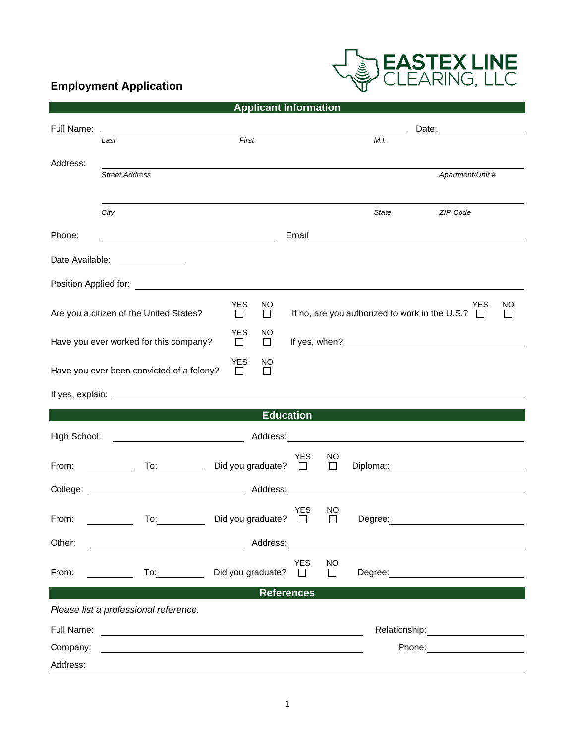## **Employment Application**



| <b>Applicant Information</b>                                                                                                                                                                         |                                                                                                                                                                                                                                |                                      |                                                  |         |                                                                                                                                                                                                                                |                    |  |  |  |
|------------------------------------------------------------------------------------------------------------------------------------------------------------------------------------------------------|--------------------------------------------------------------------------------------------------------------------------------------------------------------------------------------------------------------------------------|--------------------------------------|--------------------------------------------------|---------|--------------------------------------------------------------------------------------------------------------------------------------------------------------------------------------------------------------------------------|--------------------|--|--|--|
| Full Name:                                                                                                                                                                                           | <u> 1989 - Johann Barbara, martin a</u>                                                                                                                                                                                        |                                      |                                                  |         |                                                                                                                                                                                                                                |                    |  |  |  |
|                                                                                                                                                                                                      | Last                                                                                                                                                                                                                           | First                                |                                                  | M.I.    |                                                                                                                                                                                                                                |                    |  |  |  |
| Address:                                                                                                                                                                                             | <b>Street Address</b>                                                                                                                                                                                                          |                                      |                                                  |         | Apartment/Unit #                                                                                                                                                                                                               |                    |  |  |  |
|                                                                                                                                                                                                      |                                                                                                                                                                                                                                |                                      |                                                  |         |                                                                                                                                                                                                                                |                    |  |  |  |
|                                                                                                                                                                                                      | City                                                                                                                                                                                                                           |                                      |                                                  | State   | ZIP Code                                                                                                                                                                                                                       |                    |  |  |  |
| Phone:                                                                                                                                                                                               |                                                                                                                                                                                                                                |                                      | Email                                            |         | <u> 1980 - Johann Stoff, deutscher Stoffen und der Stoffen und der Stoffen und der Stoffen und der Stoffen und d</u>                                                                                                           |                    |  |  |  |
| Date Available:                                                                                                                                                                                      |                                                                                                                                                                                                                                |                                      |                                                  |         |                                                                                                                                                                                                                                |                    |  |  |  |
|                                                                                                                                                                                                      |                                                                                                                                                                                                                                |                                      |                                                  |         |                                                                                                                                                                                                                                |                    |  |  |  |
|                                                                                                                                                                                                      | Are you a citizen of the United States?                                                                                                                                                                                        | <b>YES</b><br>NO<br>$\Box$<br>$\Box$ |                                                  |         | YES<br>If no, are you authorized to work in the U.S.? $\Box$                                                                                                                                                                   | NO<br>$\mathsf{L}$ |  |  |  |
| YES<br>NO<br>Have you ever worked for this company?<br>$\Box$<br>$\Box$                                                                                                                              |                                                                                                                                                                                                                                |                                      |                                                  |         |                                                                                                                                                                                                                                |                    |  |  |  |
| YES<br>NO<br>Have you ever been convicted of a felony?<br>П<br>П                                                                                                                                     |                                                                                                                                                                                                                                |                                      |                                                  |         |                                                                                                                                                                                                                                |                    |  |  |  |
|                                                                                                                                                                                                      |                                                                                                                                                                                                                                |                                      |                                                  |         |                                                                                                                                                                                                                                |                    |  |  |  |
| <b>Education</b>                                                                                                                                                                                     |                                                                                                                                                                                                                                |                                      |                                                  |         |                                                                                                                                                                                                                                |                    |  |  |  |
| High School:<br><u> 1989 - Johann Barnett, fransk politik (</u><br>Address:<br><u> 1989 - Jan Samuel Barbara, martin da shekara tsara 1989 - André a Santa Barbara a Santa Barbara a Santa Barba</u> |                                                                                                                                                                                                                                |                                      |                                                  |         |                                                                                                                                                                                                                                |                    |  |  |  |
| From:                                                                                                                                                                                                | To: the contract of the contract of the contract of the contract of the contract of the contract of the contract of the contract of the contract of the contract of the contract of the contract of the contract of the contra | Did you graduate?                    | <b>YES</b><br>NO<br>$\Box$<br>$\Box$             |         | Diploma:: explorer and the control of the control of the control of the control of the control of the control of the control of the control of the control of the control of the control of the control of the control of the  |                    |  |  |  |
|                                                                                                                                                                                                      | College: the collection of the collection of the collection of the collection of the collection of the collection of the collection of the collection of the collection of the collection of the collection of the collection  |                                      | Address:                                         |         |                                                                                                                                                                                                                                |                    |  |  |  |
| From:                                                                                                                                                                                                | To:                                                                                                                                                                                                                            | Did you graduate?                    | <b>YES</b><br>NO<br>$\mathsf{L}$<br>$\mathsf{L}$ | Degree: |                                                                                                                                                                                                                                |                    |  |  |  |
| Other:                                                                                                                                                                                               |                                                                                                                                                                                                                                | Address:                             |                                                  |         |                                                                                                                                                                                                                                |                    |  |  |  |
| From:                                                                                                                                                                                                | To: and the state of the state of the state of the state of the state of the state of the state of the state o                                                                                                                 | Did you graduate?                    | <b>YES</b><br>NO<br>$\Box$<br>$\Box$             |         | Degree: the contract of the contract of the contract of the contract of the contract of the contract of the contract of the contract of the contract of the contract of the contract of the contract of the contract of the co |                    |  |  |  |
| <b>References</b>                                                                                                                                                                                    |                                                                                                                                                                                                                                |                                      |                                                  |         |                                                                                                                                                                                                                                |                    |  |  |  |
| Please list a professional reference.                                                                                                                                                                |                                                                                                                                                                                                                                |                                      |                                                  |         |                                                                                                                                                                                                                                |                    |  |  |  |
| Full Name:                                                                                                                                                                                           |                                                                                                                                                                                                                                |                                      |                                                  |         | Relationship: Note and the set of the set of the set of the set of the set of the set of the set of the set of the set of the set of the set of the set of the set of the set of the set of the set of the set of the set of t |                    |  |  |  |
| Company:                                                                                                                                                                                             |                                                                                                                                                                                                                                |                                      |                                                  |         | Phone:<br><u> 1989 - Jan Alexandro III, politik politik (</u>                                                                                                                                                                  |                    |  |  |  |
| Address:                                                                                                                                                                                             |                                                                                                                                                                                                                                |                                      |                                                  |         |                                                                                                                                                                                                                                |                    |  |  |  |